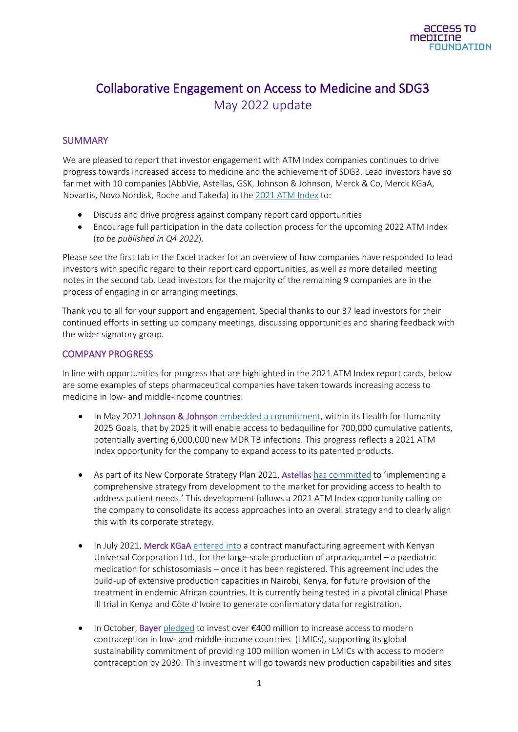# Collaborative Engagement on Access to Medicine and SDG3 May 2022 update

### SUMMARY

We are pleased to report that investor engagement with ATM Index companies continues to drive progress towards increased access to medicine and the achievement of SDG3. Lead investors have so far met with 10 companies (AbbVie, Astellas, GSK, Johnson & Johnson, Merck & Co, Merck KGaA, Novartis, Novo Nordisk, Roche and Takeda) in th[e 2021 ATM Index](https://accesstomedicinefoundation.org/access-to-medicine-index/2021-ranking) to:

- Discuss and drive progress against company report card opportunities
- Encourage full participation in the data collection process for the upcoming 2022 ATM Index (*to be published in Q4 2022*).

Please see the first tab in the Excel tracker for an overview of how companies have responded to lead investors with specific regard to their report card opportunities, as well as more detailed meeting notes in the second tab. Lead investors for the majority of the remaining 9 companies are in the process of engaging in or arranging meetings.

Thank you to all for your support and engagement. Special thanks to our 37 lead investors for their continued efforts in setting up company meetings, discussing opportunities and sharing feedback with the wider signatory group.

### COMPANY PROGRESS

In line with opportunities for progress that are highlighted in the 2021 ATM Index report cards, below are some examples of steps pharmaceutical companies have taken towards increasing access to medicine in low- and middle-income countries:

- In May 2021 Johnson & Johnson [embedded a commitment,](https://www.jnj.com/health-for-humanity-goals-2025) within its Health for Humanity 2025 Goals, that by 2025 it will enable access to bedaquiline for 700,000 cumulative patients, potentially averting 6,000,000 new MDR TB infections. This progress reflects a 2021 ATM Index opportunity for the company to expand access to its patented products.
- As part of its New Corporate Strategy Plan 2021, Astellas [has committed](https://www.astellas.com/en/news/16956) to 'implementing a comprehensive strategy from development to the market for providing access to health to address patient needs.' This development follows a 2021 ATM Index opportunity calling on the company to consolidate its access approaches into an overall strategy and to clearly align this with its corporate strategy.
- In July 2021, Merck KGaA [entered into](https://www.merckgroup.com/en/news/contract-manufacturing-pediatric-medication.html?utm_source=press-release&utm_medium=email&utm_campaign=press-mailer&utm_content=en) a contract manufacturing agreement with Kenyan Universal Corporation Ltd., for the large-scale production of arpraziquantel – a paediatric medication for schistosomiasis – once it has been registered. This agreement includes the build-up of extensive production capacities in Nairobi, Kenya, for future provision of the treatment in endemic African countries. It is currently being tested in a pivotal clinical Phase III trial in Kenya and Côte d'Ivoire to generate confirmatory data for registration.
- In October, Bayer [pledged](https://media.bayer.com/baynews/baynews.nsf/id/Bayer-to-invest-over-400-million-to-increase-access-to-modern-contraception) to invest over €400 million to increase access to modern contraception in low- and middle-income countries (LMICs), supporting its global sustainability commitment of providing 100 million women in LMICs with access to modern contraception by 2030. This investment will go towards new production capabilities and sites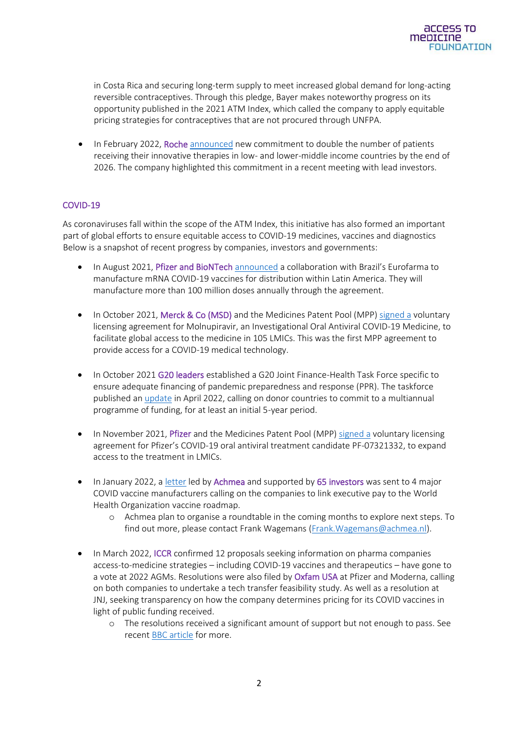in Costa Rica and securing long-term supply to meet increased global demand for long-acting reversible contraceptives. Through this pledge, Bayer makes noteworthy progress on its opportunity published in the 2021 ATM Index, which called the company to apply equitable pricing strategies for contraceptives that are not procured through UNFPA.

• In February 2022, Roche [announced](https://assets.cwp.roche.com/f/126832/x/32d69fd141/ar21e.pdf) new commitment to double the number of patients receiving their innovative therapies in low- and lower-middle income countries by the end of 2026. The company highlighted this commitment in a recent meeting with lead investors.

#### COVID-19

As coronaviruses fall within the scope of the ATM Index, this initiative has also formed an important part of global efforts to ensure equitable access to COVID-19 medicines, vaccines and diagnostics Below is a snapshot of recent progress by companies, investors and governments:

- In August 2021, Pfizer and BioNTech [announced](https://www.pfizer.com/news/press-release/press-release-detail/pfizer-and-biontech-announce-collaboration-brazils) a collaboration with Brazil's Eurofarma to manufacture mRNA COVID-19 vaccines for distribution within Latin America. They will manufacture more than 100 million doses annually through the agreement.
- In October 2021, Merck & Co (MSD) and the Medicines Patent Pool (MPP) [signed a](https://www.merck.com/news/the-medicines-patent-pool-mpp-and-merck-enter-into-license-agreement-for-molnupiravir-an-investigational-oral-antiviral-covid-19-medicine-to-increase-broad-access-in-low-and-middle-income-countri/) voluntary licensing agreement for Molnupiravir, an Investigational Oral Antiviral COVID-19 Medicine, to facilitate global access to the medicine in 105 LMICs. This was the first MPP agreement to provide access for a COVID-19 medical technology.
- In October 2021 G20 leaders established a G20 Joint Finance-Health Task Force specific to ensure adequate financing of pandemic preparedness and response (PPR). The taskforce published an *update* in April 2022, calling on donor countries to commit to a multiannual programme of funding, for at least an initial 5-year period.
- In November 2021, Pfizer and the Medicines Patent Pool (MPP) [signed a](https://www.pfizer.com/news/press-release/press-release-detail/pfizer-and-medicines-patent-pool-mpp-sign-licensing) voluntary licensing agreement for Pfizer's COVID-19 oral antiviral treatment candidate PF-07321332, to expand access to the treatment in LMICs.
- In January 2022, [a letter](https://accesstomedicinefoundation.sharepoint.com/sites/investors/Gedeelde%20documenten/Collaborative%20engagement%20on%20SDG3/Quarterly%20updates/Q1%202022%20update/•%09https:/www.reuters.com/business/healthcare-pharmaceuticals/investors-tie-pharma-ceo-pay-fair-global-covid-19-vaccine-access-2022-01-06/) led by Achmea and supported by 65 investors was sent to 4 major COVID vaccine manufacturers calling on the companies to link executive pay to the World Health Organization vaccine roadmap.
	- o Achmea plan to organise a roundtable in the coming months to explore next steps. To find out more, please contact Frank Wagemans [\(Frank.Wagemans@achmea.nl\)](mailto:Frank.Wagemans@achmea.nl).
- In March 2022, ICCR confirmed 12 proposals seeking information on pharma companies access-to-medicine strategies – including COVID-19 vaccines and therapeutics – have gone to a vote at 2022 AGMs. Resolutions were also filed by Oxfam USA at Pfizer and Moderna, calling on both companies to undertake a tech transfer feasibility study. As well as a resolution at JNJ, seeking transparency on how the company determines pricing for its COVID vaccines in light of public funding received.
	- o The resolutions received a significant amount of support but not enough to pass. See recen[t BBC article](https://www.bbc.com/news/business-61262065) for more.